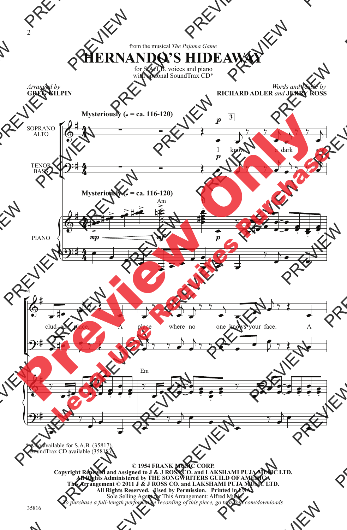## from the musical *The Pajama Game* **HERNANDO'S HIDEAWAY**

for S.A.T.B. voices and piano with optional SoundTrax CD\*

*Arranged by* **GREG GILPIN**

*Words and Music by* **RICHARD ADLER** *and* **JERRY ROSS**



\* Also available for S.A.B. (35817). SoundTrax CD available (35818).

> **© 1954 FRANK MUSIC CORP. Copyright Renewed and Assigned to J & J ROSS CO. and LAKSHAMI PUJA MUSIC LTD. All Rights Administered by THE SONGWRITERS GUILD OF AMERICA This Arrangement © 2011 J & J ROSS CO. and LAKSHAMI PUJA MUSIC LTD. All Rights Reserved. Used by Permission. Printed in USA.** Sole Selling Agent for This Arrangement: Alfred Music *To purchase a full-length performance recording of this piece, go to alfred.com/downloads*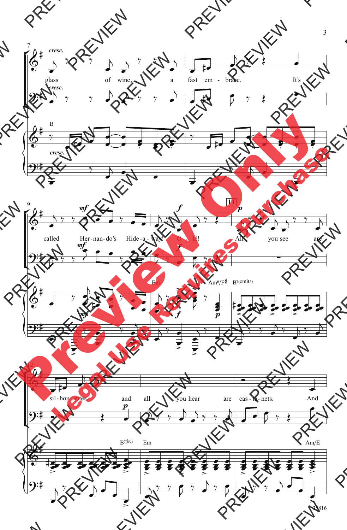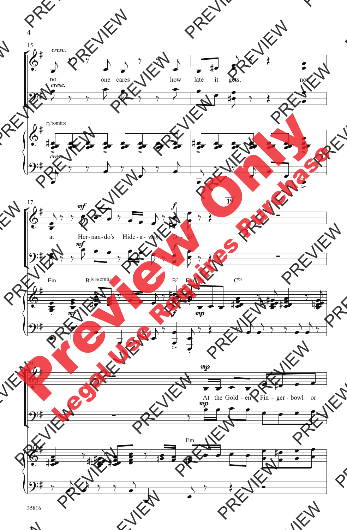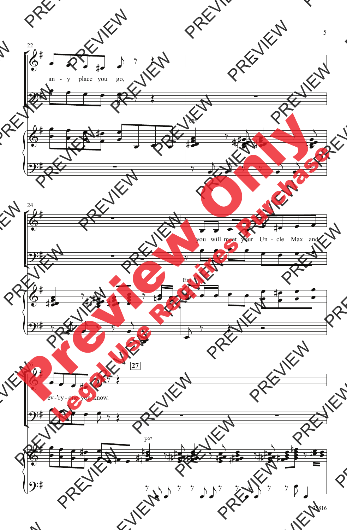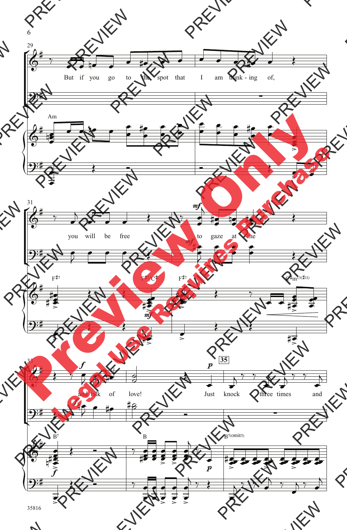

35816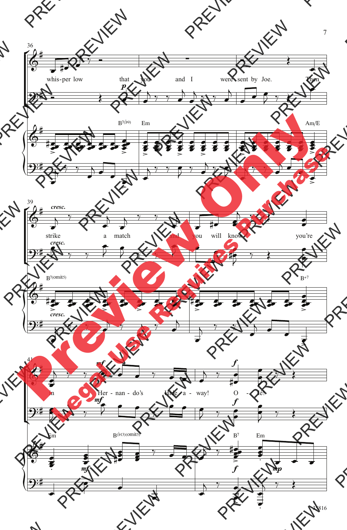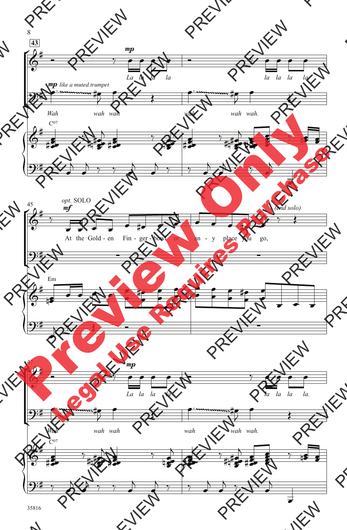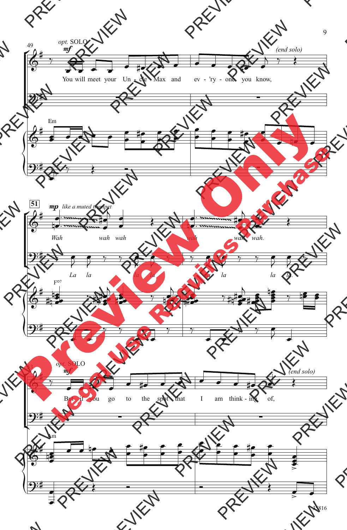

35816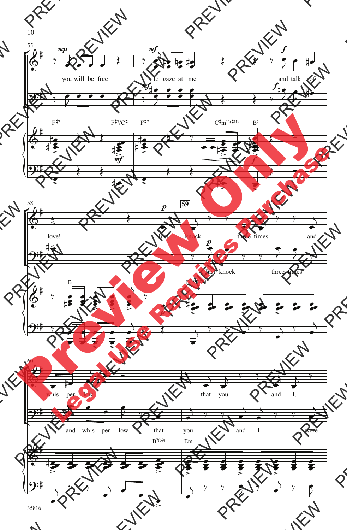